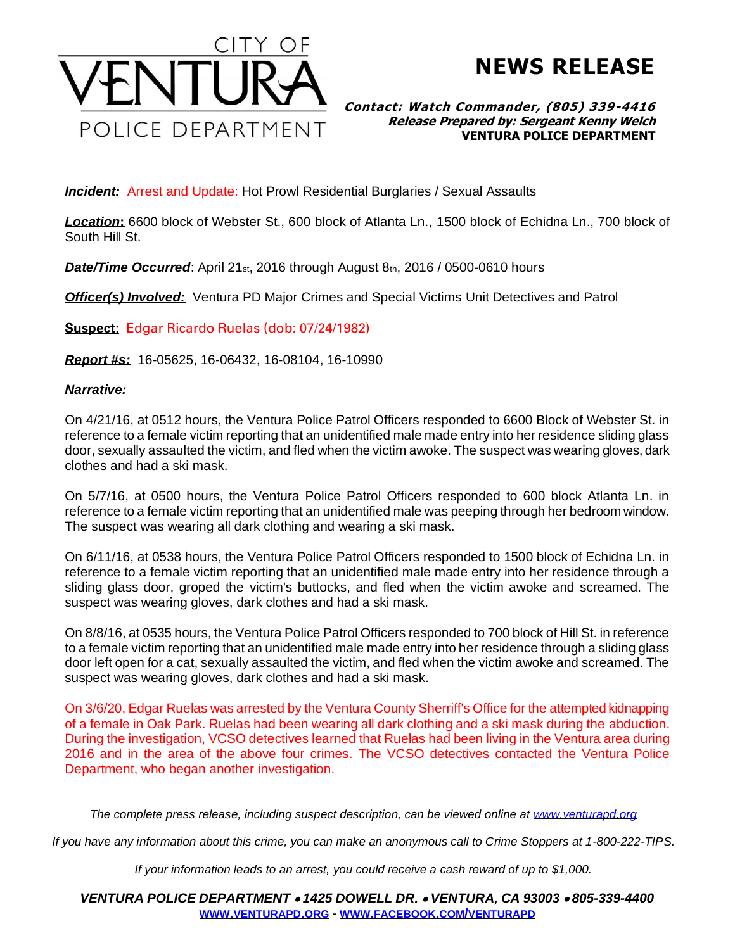

## **NEWS RELEASE**

**Contact: Watch Commander, (805) 339-4416 Release Prepared by: Sergeant Kenny Welch VENTURA POLICE DEPARTMENT**

**Incident:** Arrest and Update: Hot Prowl Residential Burglaries / Sexual Assaults

*Location***:** 6600 block of Webster St., 600 block of Atlanta Ln., 1500 block of Echidna Ln., 700 block of South Hill St.

**Date/Time Occurred:** April 21<sub>st</sub>, 2016 through August 8th, 2016 / 0500-0610 hours

*Officer(s) Involved:* Ventura PD Major Crimes and Special Victims Unit Detectives and Patrol

**Suspect:** Edgar Ricardo Ruelas (dob: 07/24/1982)

*Report #s:* 16-05625, 16-06432, 16-08104, 16-10990

## *Narrative:*

On 4/21/16, at 0512 hours, the Ventura Police Patrol Officers responded to 6600 Block of Webster St. in reference to a female victim reporting that an unidentified male made entry into her residence sliding glass door, sexually assaulted the victim, and fled when the victim awoke. The suspect was wearing gloves, dark clothes and had a ski mask.

On 5/7/16, at 0500 hours, the Ventura Police Patrol Officers responded to 600 block Atlanta Ln. in reference to a female victim reporting that an unidentified male was peeping through her bedroom window. The suspect was wearing all dark clothing and wearing a ski mask.

On 6/11/16, at 0538 hours, the Ventura Police Patrol Officers responded to 1500 block of Echidna Ln. in reference to a female victim reporting that an unidentified male made entry into her residence through a sliding glass door, groped the victim's buttocks, and fled when the victim awoke and screamed. The suspect was wearing gloves, dark clothes and had a ski mask.

On 8/8/16, at 0535 hours, the Ventura Police Patrol Officers responded to 700 block of Hill St. in reference to a female victim reporting that an unidentified male made entry into her residence through a sliding glass door left open for a cat, sexually assaulted the victim, and fled when the victim awoke and screamed. The suspect was wearing gloves, dark clothes and had a ski mask.

On 3/6/20, Edgar Ruelas was arrested by the Ventura County Sherriff's Office for the attempted kidnapping of a female in Oak Park. Ruelas had been wearing all dark clothing and a ski mask during the abduction. During the investigation, VCSO detectives learned that Ruelas had been living in the Ventura area during 2016 and in the area of the above four crimes. The VCSO detectives contacted the Ventura Police Department, who began another investigation.

*The complete press release, including suspect description, can be viewed online at [www.venturapd.org](http://www.venturapd.org/)*

*If you have any information about this crime, you can make an anonymous call to Crime Stoppers at 1-800-222-TIPS.*

*If your information leads to an arrest, you could receive a cash reward of up to \$1,000.*

*VENTURA POLICE DEPARTMENT* • *1425 DOWELL DR.* • *VENTURA, CA 93003* • *805-339-4400* **WWW.[VENTURAPD](http://www.venturapd.org/).ORG** *-* **WWW.FACEBOOK.COM/[VENTURAPD](http://www.facebook.com/venturapd)**